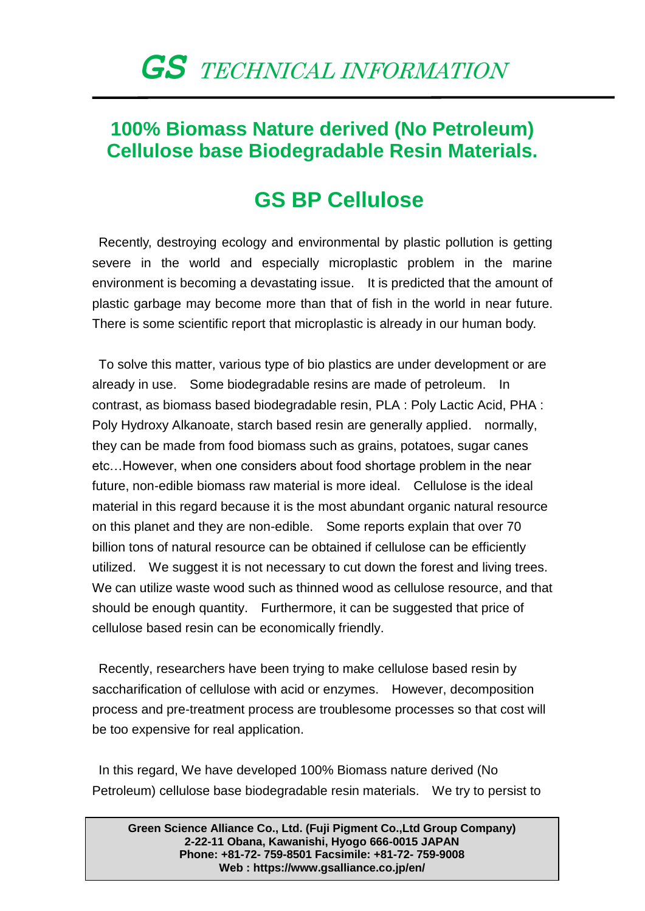## *GS* TECHNICAL INFORMATION

## **100% Biomass Nature derived (No Petroleum) Cellulose base Biodegradable Resin Materials.**

## **GS BP Cellulose**

Recently, destroying ecology and environmental by plastic pollution is getting severe in the world and especially microplastic problem in the marine environment is becoming a devastating issue. It is predicted that the amount of plastic garbage may become more than that of fish in the world in near future. There is some scientific report that microplastic is already in our human body.

To solve this matter, various type of bio plastics are under development or are already in use. Some biodegradable resins are made of petroleum. In contrast, as biomass based biodegradable resin, PLA : Poly Lactic Acid, PHA : Poly Hydroxy Alkanoate, starch based resin are generally applied. normally, they can be made from food biomass such as grains, potatoes, sugar canes etc…However, when one considers about food shortage problem in the near future, non-edible biomass raw material is more ideal. Cellulose is the ideal material in this regard because it is the most abundant organic natural resource on this planet and they are non-edible. Some reports explain that over 70 billion tons of natural resource can be obtained if cellulose can be efficiently utilized. We suggest it is not necessary to cut down the forest and living trees. We can utilize waste wood such as thinned wood as cellulose resource, and that should be enough quantity. Furthermore, it can be suggested that price of cellulose based resin can be economically friendly.

Recently, researchers have been trying to make cellulose based resin by saccharification of cellulose with acid or enzymes. However, decomposition process and pre-treatment process are troublesome processes so that cost will be too expensive for real application.

In this regard, We have developed 100% Biomass nature derived (No Petroleum) cellulose base biodegradable resin materials. We try to persist to

**Green Science Alliance Co., Ltd. (Fuji Pigment Co.,Ltd Group Company) 2-22-11 Obana, Kawanishi, Hyogo 666-0015 JAPAN Phone: +81-72- 759-8501 Facsimile: +81-72- 759-9008 Web : https://www.gsalliance.co.jp/en/**